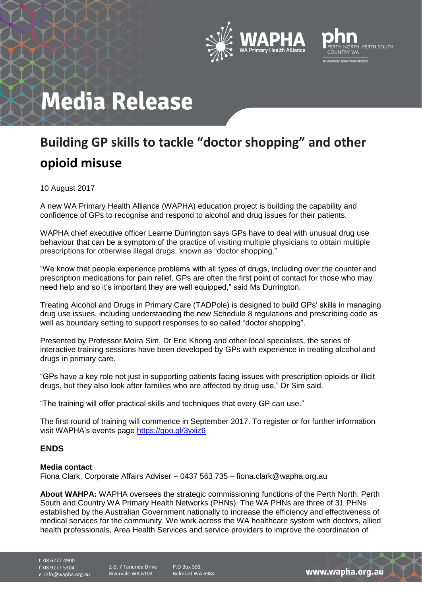



## **Media Release**

## **Building GP skills to tackle "doctor shopping" and other opioid misuse**

10 August 2017

A new WA Primary Health Alliance (WAPHA) education project is building the capability and confidence of GPs to recognise and respond to alcohol and drug issues for their patients.

WAPHA chief executive officer Learne Durrington says GPs have to deal with unusual drug use behaviour that can be a symptom of the practice of visiting multiple physicians to obtain multiple prescriptions for otherwise illegal drugs, known as "doctor shopping."

"We know that people experience problems with all types of drugs, including over the counter and prescription medications for pain relief. GPs are often the first point of contact for those who may need help and so it's important they are well equipped," said Ms Durrington.

Treating Alcohol and Drugs in Primary Care (TADPole) is designed to build GPs' skills in managing drug use issues, including understanding the new Schedule 8 regulations and prescribing code as well as boundary setting to support responses to so called "doctor shopping".

Presented by Professor Moira Sim, Dr Eric Khong and other local specialists, the series of interactive training sessions have been developed by GPs with experience in treating alcohol and drugs in primary care.

"GPs have a key role not just in supporting patients facing issues with prescription opioids or illicit drugs, but they also look after families who are affected by drug use," Dr Sim said.

"The training will offer practical skills and techniques that every GP can use."

The first round of training will commence in September 2017. To register or for further information visit WAPHA's events page<https://goo.gl/3yxiz6>

## **ENDS**

## **Media contact**

Fiona Clark, Corporate Affairs Adviser – 0437 563 735 – fiona.clark@wapha.org.au

**About WAHPA:** WAPHA oversees the strategic commissioning functions of the Perth North, Perth South and Country WA Primary Health Networks (PHNs). The WA PHNs are three of 31 PHNs established by the Australian Government nationally to increase the efficiency and effectiveness of medical services for the community. We work across the WA healthcare system with doctors, allied health professionals, Area Health Services and service providers to improve the coordination of

t 08 6272 4900

f 08 9277 5304

e info@wapha.org.au

2-5, 7 Tanunda Drive Rivervale WA 6103

P.O Box 591 Belmont WA 6984

www.wapha.org.au